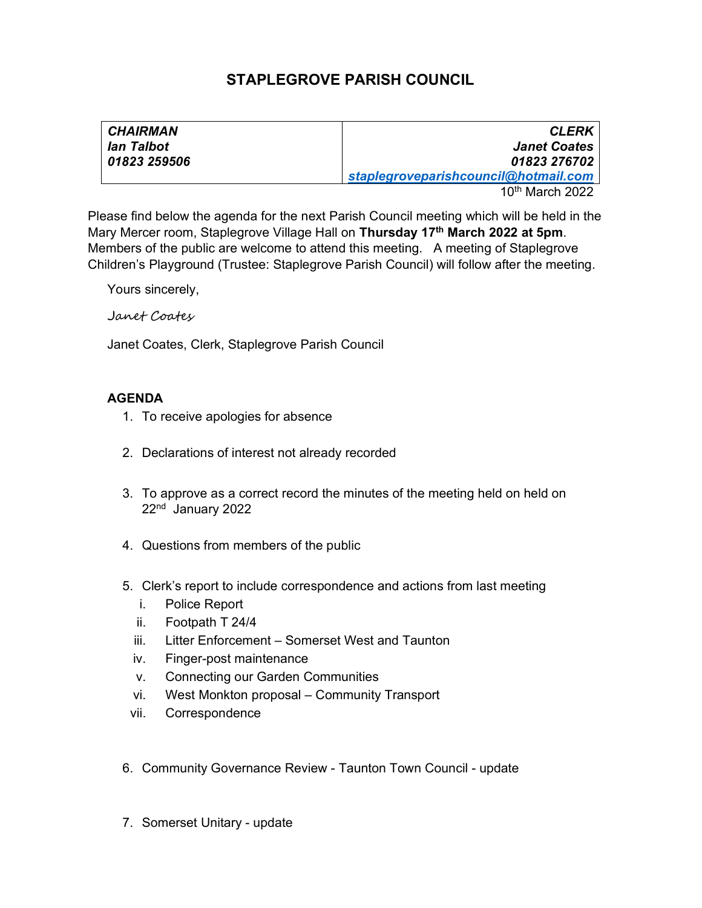## STAPLEGROVE PARISH COUNCIL

| <b>CHAIRMAN</b> | <b>CLERK</b>                         |
|-----------------|--------------------------------------|
| lan Talbot      | <b>Janet Coates</b>                  |
| 01823 259506    | 01823 276702                         |
|                 | staplegroveparishcouncil@hotmail.com |

10th March 2022

Please find below the agenda for the next Parish Council meeting which will be held in the Mary Mercer room, Staplegrove Village Hall on Thursday 17<sup>th</sup> March 2022 at 5pm. Members of the public are welcome to attend this meeting. A meeting of Staplegrove Children's Playground (Trustee: Staplegrove Parish Council) will follow after the meeting.

Yours sincerely,

Janet Coates

Janet Coates, Clerk, Staplegrove Parish Council

## AGENDA

- 1. To receive apologies for absence
- 2. Declarations of interest not already recorded
- 3. To approve as a correct record the minutes of the meeting held on held on 22nd January 2022
- 4. Questions from members of the public
- 5. Clerk's report to include correspondence and actions from last meeting
	- i. Police Report
	- ii. Footpath T 24/4
	- iii. Litter Enforcement Somerset West and Taunton
	- iv. Finger-post maintenance
	- v. Connecting our Garden Communities
	- vi. West Monkton proposal Community Transport
	- vii. Correspondence
- 6. Community Governance Review Taunton Town Council update
- 7. Somerset Unitary update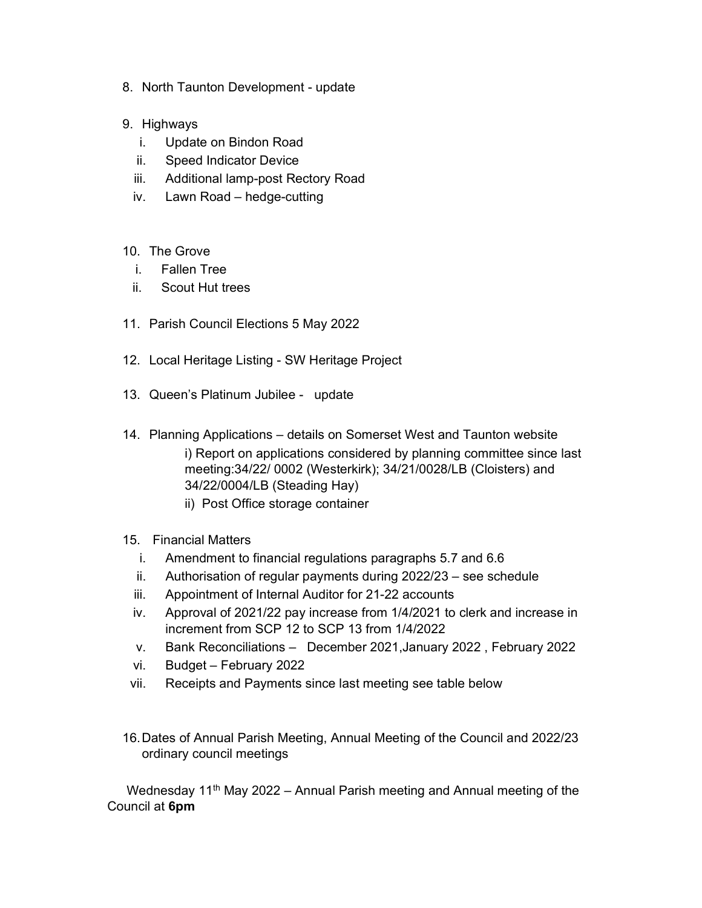- 8. North Taunton Development update
- 9. Highways
	- i. Update on Bindon Road
	- ii. Speed Indicator Device
	- iii. Additional lamp-post Rectory Road
	- iv. Lawn Road hedge-cutting
- 10. The Grove
	- i. Fallen Tree
	- ii. Scout Hut trees
- 11. Parish Council Elections 5 May 2022
- 12. Local Heritage Listing SW Heritage Project
- 13. Queen's Platinum Jubilee update
- 14. Planning Applications details on Somerset West and Taunton website i) Report on applications considered by planning committee since last meeting:34/22/ 0002 (Westerkirk); 34/21/0028/LB (Cloisters) and 34/22/0004/LB (Steading Hay)
	- ii) Post Office storage container
- 15. Financial Matters
	- i. Amendment to financial regulations paragraphs 5.7 and 6.6
	- ii. Authorisation of regular payments during 2022/23 see schedule
	- iii. Appointment of Internal Auditor for 21-22 accounts
	- iv. Approval of 2021/22 pay increase from 1/4/2021 to clerk and increase in increment from SCP 12 to SCP 13 from 1/4/2022
	- v. Bank Reconciliations December 2021,January 2022 , February 2022
	- vi. Budget February 2022
- vii. Receipts and Payments since last meeting see table below
- 16. Dates of Annual Parish Meeting, Annual Meeting of the Council and 2022/23 ordinary council meetings

Wednesday 11<sup>th</sup> May 2022 – Annual Parish meeting and Annual meeting of the Council at 6pm